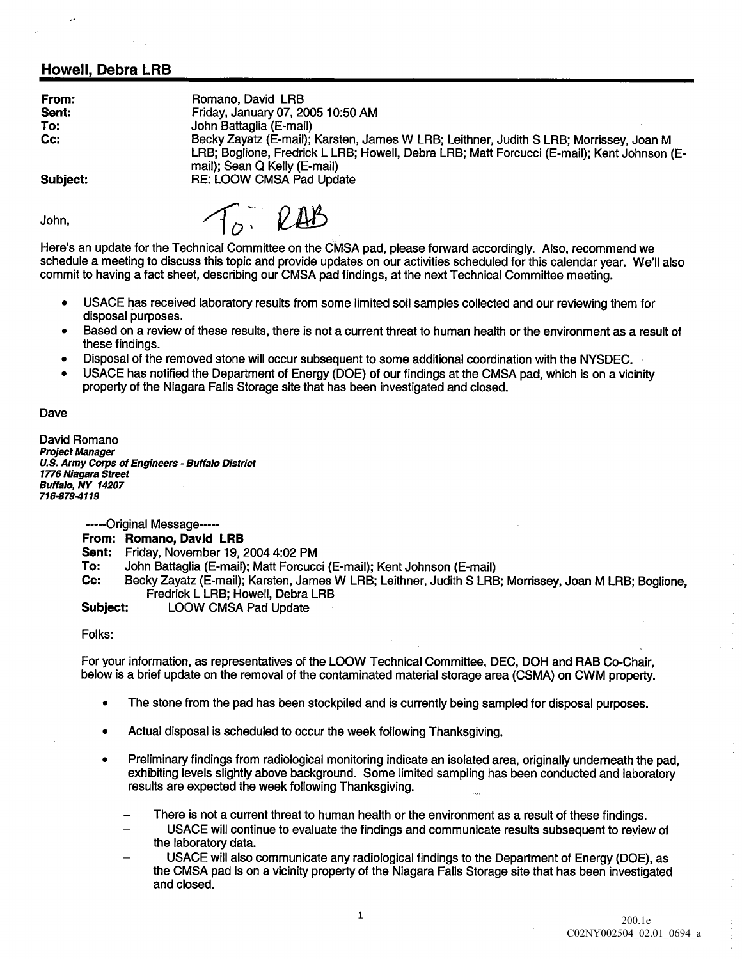## Howell, Debra LRB

| From:<br>Sent:<br>To:<br>Cc: | Romano, David LRB<br>Friday, January 07, 2005 10:50 AM<br>John Battaglia (E-mail)<br>Becky Zayatz (E-mail); Karsten, James W LRB; Leithner, Judith S LRB; Morrissey, Joan M<br>LRB; Boglione, Fredrick L LRB; Howell, Debra LRB; Matt Forcucci (E-mail); Kent Johnson (E-<br>mail); Sean Q Kelly (E-mail) |
|------------------------------|-----------------------------------------------------------------------------------------------------------------------------------------------------------------------------------------------------------------------------------------------------------------------------------------------------------|
| Subject:                     | <b>RE: LOOW CMSA Pad Update</b>                                                                                                                                                                                                                                                                           |

John

To RAB

Here's an update for the Technical Committee on the CMSA pad, please forward accordingly. Also, recommend we schedule a meeting to discuss this topic and provide updates on our activities scheduled for this calendar year. We'll also commit to having a fact sheet, describing our CMSA pad findings, at the next Technical Committee meeting.

- USACE has received laboratory results from some limited soil samples collected and our reviewing them for disposal purposes
- Based on a review of these results, there is not a current threat to human health or the environment as a result of these findings
- Disposal of the removed stone will occur subsequent to some additional coordination with the NYSDEC
- USACE has notified the Department of Energy (DOE) of our findings at the CMSA pad, which is on a vicinity property of the Niagara Falls Storage site that has been investigated and closed

Dave

David Romano Project Manager U.S. Army Corps of Engineers - Buffalo District 1776 Niagara Street Buffalo, NY 14207 716-879-4119

-----Original Message-----

From: Romano David LRB

Sent: Friday, November 19, 2004 4:02 PM

To: John Battaglia (E-mail); Matt Forcucci (E-mail); Kent Johnson (E-mail)<br>Cc: Becky Zavatz (E-mail): Karsten, James W LBB: Leithner, Judith S LBE

Becky Zayatz (E-mail); Karsten, James W LRB; Leithner, Judith S LRB; Morrissey, Joan M LRB; Boglione, Fredrick L LRB; Howell, Debra LRB

Subject: LOOW CMSA Pad Update

Folks

For your information, as representatives of the LOOW Technical Committee, DEC, DOH and RAB Co-Chair. below is a brief update on the removal of the contaminated material storage area (CSMA) on CWM property.

- The stone from the pad has been stockpiled and is currently being sampled for disposal purposes  $\bullet$
- Actual disposal is scheduled to occur the week following Thanksgiving
- Preliminary findings from radiological monitoring indicate an isolated area, originally underneath the pad, exhibiting levels slightly above background. Some limited sampling has been conducted and laboratory results are expected the week following Thanksgiving
	- There is not a current threat to human health or the environment as a result of these findings.
		- USACE will continue to evaluate the findings and communicate results subsequent to review of the laboratory data
	- USACE will also communicate any radiological findings to the Department of Energy (DOE), as the CMSA pad is on a vicinity property of the Niagara Falls Storage site that has been investigated and closed